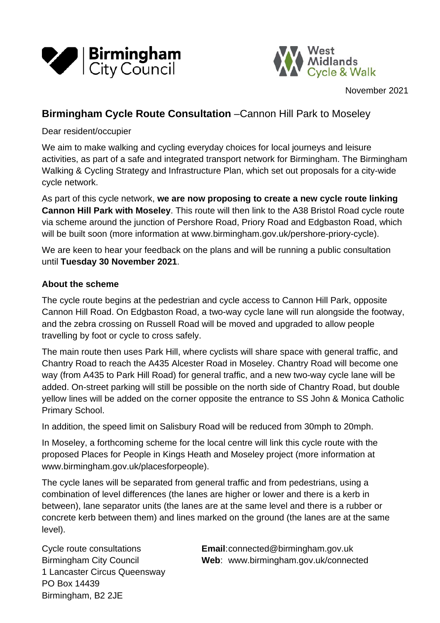



November 2021

# **Birmingham Cycle Route Consultation** –Cannon Hill Park to Moseley

#### Dear resident/occupier

We aim to make walking and cycling everyday choices for local journeys and leisure activities, as part of a safe and integrated transport network for Birmingham. The Birmingham Walking & Cycling Strategy and Infrastructure Plan, which set out proposals for a city-wide cycle network.

As part of this cycle network, **we are now proposing to create a new cycle route linking Cannon Hill Park with Moseley**. This route will then link to the A38 Bristol Road cycle route via scheme around the junction of Pershore Road, Priory Road and Edgbaston Road, which will be built soon (more information at [www.birmingham.gov.uk/pershore-priory-cycle\)](http://www.birmingham.gov.uk/pershore-priory-cycle).

We are keen to hear your feedback on the plans and will be running a public consultation until **Tuesday 30 November 2021**.

#### **About the scheme**

The cycle route begins at the pedestrian and cycle access to Cannon Hill Park, opposite Cannon Hill Road. On Edgbaston Road, a two-way cycle lane will run alongside the footway, and the zebra crossing on Russell Road will be moved and upgraded to allow people travelling by foot or cycle to cross safely.

The main route then uses Park Hill, where cyclists will share space with general traffic, and Chantry Road to reach the A435 Alcester Road in Moseley. Chantry Road will become one way (from A435 to Park Hill Road) for general traffic, and a new two-way cycle lane will be added. On-street parking will still be possible on the north side of Chantry Road, but double yellow lines will be added on the corner opposite the entrance to SS John & Monica Catholic Primary School.

In addition, the speed limit on Salisbury Road will be reduced from 30mph to 20mph.

In Moseley, a forthcoming scheme for the local centre will link this cycle route with the proposed Places for People in Kings Heath and Moseley project (more information at [www.birmingham.gov.uk/placesforpeople\)](http://www.birmingham.gov.uk/placesforpeople).

The cycle lanes will be separated from general traffic and from pedestrians, using a combination of level differences (the lanes are higher or lower and there is a kerb in between), lane separator units (the lanes are at the same level and there is a rubber or concrete kerb between them) and lines marked on the ground (the lanes are at the same level).

1 Lancaster Circus Queensway PO Box 14439 Birmingham, B2 2JE

Cycle route consultations **Email**:connected@birmingham.gov.uk Birmingham City Council **Web**: www.birmingham.gov.uk/connected